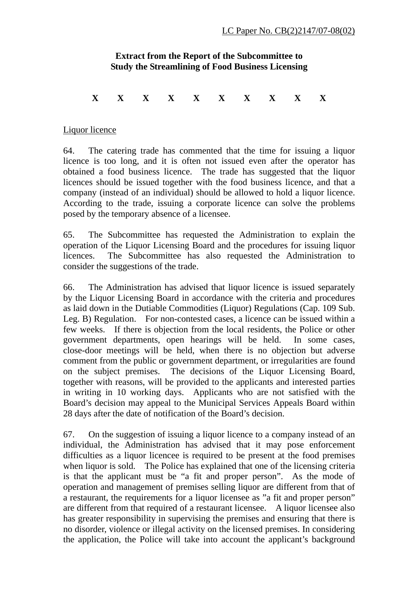## **Extract from the Report of the Subcommittee to Study the Streamlining of Food Business Licensing**

## **X X X X X X X X X X**

## Liquor licence

64. The catering trade has commented that the time for issuing a liquor licence is too long, and it is often not issued even after the operator has obtained a food business licence. The trade has suggested that the liquor licences should be issued together with the food business licence, and that a company (instead of an individual) should be allowed to hold a liquor licence. According to the trade, issuing a corporate licence can solve the problems posed by the temporary absence of a licensee.

65. The Subcommittee has requested the Administration to explain the operation of the Liquor Licensing Board and the procedures for issuing liquor licences. The Subcommittee has also requested the Administration to consider the suggestions of the trade.

66. The Administration has advised that liquor licence is issued separately by the Liquor Licensing Board in accordance with the criteria and procedures as laid down in the Dutiable Commodities (Liquor) Regulations (Cap. 109 Sub. Leg. B) Regulation. For non-contested cases, a licence can be issued within a few weeks. If there is objection from the local residents, the Police or other government departments, open hearings will be held. In some cases, close-door meetings will be held, when there is no objection but adverse comment from the public or government department, or irregularities are found on the subject premises. The decisions of the Liquor Licensing Board, together with reasons, will be provided to the applicants and interested parties in writing in 10 working days. Applicants who are not satisfied with the Board's decision may appeal to the Municipal Services Appeals Board within 28 days after the date of notification of the Board's decision.

67. On the suggestion of issuing a liquor licence to a company instead of an individual, the Administration has advised that it may pose enforcement difficulties as a liquor licencee is required to be present at the food premises when liquor is sold. The Police has explained that one of the licensing criteria is that the applicant must be "a fit and proper person". As the mode of operation and management of premises selling liquor are different from that of a restaurant, the requirements for a liquor licensee as "a fit and proper person" are different from that required of a restaurant licensee. A liquor licensee also has greater responsibility in supervising the premises and ensuring that there is no disorder, violence or illegal activity on the licensed premises. In considering the application, the Police will take into account the applicant's background